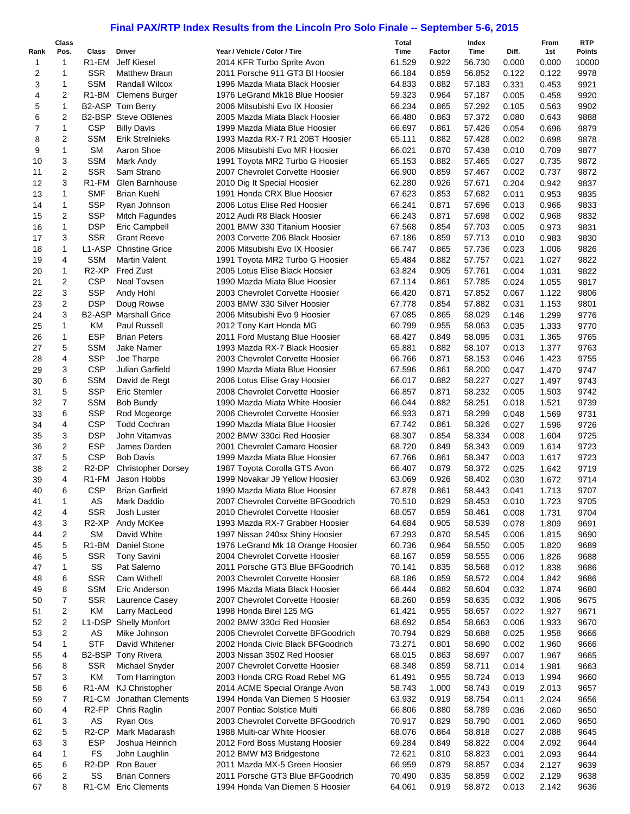## **Final PAX/RTP Index Results from the Lincoln Pro Solo Finale -- September 5-6, 2015**

|          | Class          |                                 |                                     |                                                                      | Total            |                 | Index            |                | From           | <b>RTP</b>    |
|----------|----------------|---------------------------------|-------------------------------------|----------------------------------------------------------------------|------------------|-----------------|------------------|----------------|----------------|---------------|
| Rank     | Pos.<br>1      | Class<br>R1-EM                  | <b>Driver</b><br><b>Jeff Kiesel</b> | Year / Vehicle / Color / Tire                                        | Time<br>61.529   | Factor<br>0.922 | Time<br>56.730   | Diff.          | 1st            | <b>Points</b> |
| 1<br>2   | 1              | <b>SSR</b>                      | <b>Matthew Braun</b>                | 2014 KFR Turbo Sprite Avon<br>2011 Porsche 911 GT3 BI Hoosier        | 66.184           | 0.859           | 56.852           | 0.000<br>0.122 | 0.000<br>0.122 | 10000<br>9978 |
| 3        | 1              | <b>SSM</b>                      | <b>Randall Wilcox</b>               | 1996 Mazda Miata Black Hoosier                                       | 64.833           | 0.882           | 57.183           | 0.331          | 0.453          | 9921          |
| 4        | 2              | R <sub>1</sub> -BM              | <b>Clemens Burger</b>               | 1976 LeGrand Mk18 Blue Hoosier                                       | 59.323           | 0.964           | 57.187           | 0.005          | 0.458          | 9920          |
| 5        | 1              |                                 | B2-ASP Tom Berry                    | 2006 Mitsubishi Evo IX Hoosier                                       | 66.234           | 0.865           | 57.292           | 0.105          | 0.563          | 9902          |
| 6        | 2              |                                 | <b>B2-BSP</b> Steve OBlenes         | 2005 Mazda Miata Black Hoosier                                       | 66.480           | 0.863           | 57.372           | 0.080          | 0.643          | 9888          |
| 7        | 1              | <b>CSP</b>                      | <b>Billy Davis</b>                  | 1999 Mazda Miata Blue Hoosier                                        | 66.697           | 0.861           | 57.426           | 0.054          | 0.696          | 9879          |
| 8        | 2              | <b>SSM</b>                      | <b>Erik Strelnieks</b>              | 1993 Mazda RX-7 R1 20BT Hoosier                                      | 65.111           | 0.882           | 57.428           | 0.002          | 0.698          | 9878          |
| 9        | $\mathbf{1}$   | <b>SM</b>                       | Aaron Shoe                          | 2006 Mitsubishi Evo MR Hoosier                                       | 66.021           | 0.870           | 57.438           | 0.010          | 0.709          | 9877          |
| 10       | 3              | <b>SSM</b>                      | Mark Andy                           | 1991 Toyota MR2 Turbo G Hoosier                                      | 65.153           | 0.882           | 57.465           | 0.027          | 0.735          | 9872          |
| 11       | 2              | <b>SSR</b>                      | Sam Strano                          | 2007 Chevrolet Corvette Hoosier                                      | 66.900           | 0.859           | 57.467           | 0.002          | 0.737          | 9872          |
| 12       | 3              | R1-FM                           | Glen Barnhouse                      | 2010 Dig It Special Hoosier                                          | 62.280           | 0.926           | 57.671           | 0.204          | 0.942          | 9837          |
| 13       | 1              | <b>SMF</b>                      | <b>Brian Kuehl</b>                  | 1991 Honda CRX Blue Hoosier                                          | 67.623           | 0.853           | 57.682           | 0.011          | 0.953          | 9835          |
| 14       | 1              | <b>SSP</b>                      | Ryan Johnson                        | 2006 Lotus Elise Red Hoosier                                         | 66.241           | 0.871           | 57.696           | 0.013          | 0.966          | 9833          |
| 15       | 2              | <b>SSP</b>                      | Mitch Fagundes                      | 2012 Audi R8 Black Hoosier                                           | 66.243           | 0.871           | 57.698           | 0.002          | 0.968          | 9832          |
| 16       | 1              | <b>DSP</b>                      | Eric Campbell                       | 2001 BMW 330 Titanium Hoosier                                        | 67.568           | 0.854           | 57.703           | 0.005          | 0.973          | 9831          |
| 17       | 3              | <b>SSR</b>                      | <b>Grant Reeve</b>                  | 2003 Corvette Z06 Black Hoosier                                      | 67.186           | 0.859           | 57.713           | 0.010          | 0.983          | 9830          |
| 18       | 1              | L1-ASP                          | <b>Christine Grice</b>              | 2006 Mitsubishi Evo IX Hoosier                                       | 66.747           | 0.865           | 57.736           | 0.023          | 1.006          | 9826          |
| 19       | 4              | <b>SSM</b>                      | <b>Martin Valent</b>                | 1991 Toyota MR2 Turbo G Hoosier                                      | 65.484           | 0.882           | 57.757           | 0.021          | 1.027          | 9822          |
| 20       | $\mathbf{1}$   | R <sub>2</sub> -XP              | <b>Fred Zust</b>                    | 2005 Lotus Elise Black Hoosier                                       | 63.824           | 0.905           | 57.761           | 0.004          | 1.031          | 9822          |
| 21       | 2              | <b>CSP</b>                      | <b>Neal Tovsen</b>                  | 1990 Mazda Miata Blue Hoosier                                        | 67.114           | 0.861           | 57.785           | 0.024          | 1.055          | 9817          |
| 22       | 3              | <b>SSP</b>                      | Andy Hohl                           | 2003 Chevrolet Corvette Hoosier                                      | 66.420           | 0.871           | 57.852           | 0.067          | 1.122          | 9806          |
| 23       | 2              | <b>DSP</b>                      | Doug Rowse                          | 2003 BMW 330 Silver Hoosier                                          | 67.778           | 0.854           | 57.882           | 0.031          | 1.153          | 9801          |
| 24       | 3              | B <sub>2</sub> -ASP             | <b>Marshall Grice</b>               | 2006 Mitsubishi Evo 9 Hoosier                                        | 67.085           | 0.865           | 58.029           | 0.146          | 1.299          | 9776          |
| 25       | 1              | ΚM                              | Paul Russell                        | 2012 Tony Kart Honda MG                                              | 60.799           | 0.955           | 58.063           | 0.035          | 1.333          | 9770          |
| 26       | 1              | <b>ESP</b>                      | <b>Brian Peters</b>                 | 2011 Ford Mustang Blue Hoosier                                       | 68.427           | 0.849           | 58.095           | 0.031          | 1.365          | 9765          |
| 27       | 5              | <b>SSM</b>                      | <b>Jake Namer</b>                   | 1993 Mazda RX-7 Black Hoosier                                        | 65.881           | 0.882           | 58.107           | 0.013          | 1.377          | 9763          |
| 28       | 4              | <b>SSP</b>                      | Joe Tharpe                          | 2003 Chevrolet Corvette Hoosier                                      | 66.766           | 0.871           | 58.153           | 0.046          | 1.423          | 9755          |
| 29       | 3              | <b>CSP</b>                      | Julian Garfield                     | 1990 Mazda Miata Blue Hoosier                                        | 67.596           | 0.861           | 58.200           | 0.047          | 1.470          | 9747          |
| 30       | 6              | <b>SSM</b>                      | David de Regt                       | 2006 Lotus Elise Gray Hoosier                                        | 66.017           | 0.882           | 58.227           | 0.027          | 1.497          | 9743          |
| 31       | 5              | <b>SSP</b>                      | Eric Stemler                        | 2008 Chevrolet Corvette Hoosier                                      | 66.857           | 0.871           | 58.232           | 0.005          | 1.503          | 9742          |
| 32       | $\overline{7}$ | <b>SSM</b>                      | <b>Bob Bundy</b>                    | 1990 Mazda Miata White Hoosier                                       | 66.044           | 0.882           | 58.251           | 0.018          | 1.521          | 9739          |
| 33       | 6              | <b>SSP</b>                      | Rod Mcgeorge                        | 2006 Chevrolet Corvette Hoosier                                      | 66.933           | 0.871           | 58.299           | 0.048          | 1.569          | 9731          |
| 34       | 4              | <b>CSP</b>                      | <b>Todd Cochran</b>                 | 1990 Mazda Miata Blue Hoosier                                        | 67.742           | 0.861           | 58.326           | 0.027          | 1.596          | 9726          |
| 35       | 3              | <b>DSP</b>                      | John Vitamvas                       | 2002 BMW 330ci Red Hoosier                                           | 68.307           | 0.854           | 58.334           | 0.008          | 1.604          | 9725          |
| 36       | 2              | <b>ESP</b>                      | James Darden                        | 2001 Chevrolet Camaro Hoosier                                        | 68.720           | 0.849           | 58.343           | 0.009          | 1.614          | 9723          |
| 37       | 5              | <b>CSP</b>                      | <b>Bob Davis</b>                    | 1999 Mazda Miata Blue Hoosier                                        | 67.766           | 0.861           | 58.347           | 0.003          | 1.617          | 9723          |
| 38       | 2              | R <sub>2</sub> -DP              | <b>Christopher Dorsey</b>           | 1987 Toyota Corolla GTS Avon                                         | 66.407           | 0.879           | 58.372           | 0.025          | 1.642          | 9719          |
| 39       | $\overline{4}$ | R <sub>1-FM</sub>               | Jason Hobbs                         | 1999 Novakar J9 Yellow Hoosier                                       | 63.069           | 0.926           | 58.402           | 0.030          | 1.672          | 9714          |
| 40       | 6              | <b>CSP</b>                      | <b>Brian Garfield</b>               | 1990 Mazda Miata Blue Hoosier                                        | 67.878           | 0.861           | 58.443           | 0.041          | 1.713          | 9707          |
| 41       | 1              | AS                              | Mark Daddio                         | 2007 Chevrolet Corvette BFGoodrich                                   | 70.510           | 0.829           | 58.453           | 0.010          | 1.723          | 9705          |
| 42       | 4              | <b>SSR</b>                      | Josh Luster                         | 2010 Chevrolet Corvette Hoosier                                      | 68.057           | 0.859           | 58.461           | 0.008          | 1.731          | 9704          |
| 43       | 3              | R <sub>2</sub> -XP              | Andy McKee                          | 1993 Mazda RX-7 Grabber Hoosier                                      | 64.684           | 0.905           | 58.539           | 0.078          | 1.809          | 9691          |
| 44       | 2              | <b>SM</b><br>R <sub>1</sub> -BM | David White                         | 1997 Nissan 240sx Shiny Hoosier                                      | 67.293           | 0.870           | 58.545           | 0.006          | 1.815          | 9690          |
| 45<br>46 | 5<br>5         | <b>SSR</b>                      | Daniel Stone<br><b>Tony Savini</b>  | 1976 LeGrand Mk 18 Orange Hoosier<br>2004 Chevrolet Corvette Hoosier | 60.736<br>68.167 | 0.964<br>0.859  | 58.550<br>58.555 | 0.005<br>0.006 | 1.820<br>1.826 | 9689<br>9688  |
| 47       | 1              | SS                              | Pat Salerno                         | 2011 Porsche GT3 Blue BFGoodrich                                     | 70.141           | 0.835           | 58.568           | 0.012          | 1.838          | 9686          |
| 48       | 6              | <b>SSR</b>                      | Cam Withell                         | 2003 Chevrolet Corvette Hoosier                                      | 68.186           | 0.859           | 58.572           | 0.004          | 1.842          | 9686          |
| 49       | 8              | <b>SSM</b>                      | Eric Anderson                       | 1996 Mazda Miata Black Hoosier                                       | 66.444           | 0.882           | 58.604           | 0.032          | 1.874          | 9680          |
| 50       | 7              | <b>SSR</b>                      | Laurence Casey                      | 2007 Chevrolet Corvette Hoosier                                      | 68.260           | 0.859           | 58.635           | 0.032          | 1.906          | 9675          |
| 51       | 2              | ΚM                              | Larry MacLeod                       | 1998 Honda Birel 125 MG                                              | 61.421           | 0.955           | 58.657           | 0.022          | 1.927          | 9671          |
| 52       | 2              | L1-DSP                          | <b>Shelly Monfort</b>               | 2002 BMW 330ci Red Hoosier                                           | 68.692           | 0.854           | 58.663           | 0.006          | 1.933          | 9670          |
| 53       | 2              | AS                              | Mike Johnson                        | 2006 Chevrolet Corvette BFGoodrich                                   | 70.794           | 0.829           | 58.688           | 0.025          | 1.958          | 9666          |
| 54       | 1              | <b>STF</b>                      | David Whitener                      | 2002 Honda Civic Black BFGoodrich                                    | 73.271           | 0.801           | 58.690           | 0.002          | 1.960          | 9666          |
| 55       | 4              |                                 | <b>B2-BSP</b> Tony Rivera           | 2003 Nissan 350Z Red Hoosier                                         | 68.015           | 0.863           | 58.697           | 0.007          | 1.967          | 9665          |
| 56       | 8              | SSR                             | Michael Snyder                      | 2007 Chevrolet Corvette Hoosier                                      | 68.348           | 0.859           | 58.711           | 0.014          | 1.981          | 9663          |
| 57       | 3              | KM                              | Tom Harrington                      | 2003 Honda CRG Road Rebel MG                                         | 61.491           | 0.955           | 58.724           | 0.013          | 1.994          | 9660          |
| 58       | 6              | R1-AM                           | <b>KJ Christopher</b>               | 2014 ACME Special Orange Avon                                        | 58.743           | 1.000           | 58.743           | 0.019          | 2.013          | 9657          |
| 59       | 7              | R <sub>1</sub> -CM              | Jonathan Clements                   | 1994 Honda Van Diemen S Hoosier                                      | 63.932           | 0.919           | 58.754           | 0.011          | 2.024          | 9656          |
| 60       | 4              | R <sub>2</sub> -FP              | Chris Raglin                        | 2007 Pontiac Solstice Multi                                          | 66.806           | 0.880           | 58.789           | 0.036          | 2.060          | 9650          |
| 61       | 3              | AS                              | <b>Ryan Otis</b>                    | 2003 Chevrolet Corvette BFGoodrich                                   | 70.917           | 0.829           | 58.790           | 0.001          | 2.060          | 9650          |
| 62       | 5              | R <sub>2</sub> -CP              | Mark Madarash                       | 1988 Multi-car White Hoosier                                         | 68.076           | 0.864           | 58.818           | 0.027          | 2.088          | 9645          |
| 63       | 3              | <b>ESP</b>                      | Joshua Heinrich                     | 2012 Ford Boss Mustang Hoosier                                       | 69.284           | 0.849           | 58.822           | 0.004          | 2.092          | 9644          |
| 64       | 1              | FS                              | John Laughlin                       | 2012 BMW M3 Bridgestone                                              | 72.621           | 0.810           | 58.823           | 0.001          | 2.093          | 9644          |
| 65       | 6              | R <sub>2</sub> -DP              | Ron Bauer                           | 2011 Mazda MX-5 Green Hoosier                                        | 66.959           | 0.879           | 58.857           | 0.034          | 2.127          | 9639          |
| 66       | 2              | SS                              | <b>Brian Conners</b>                | 2011 Porsche GT3 Blue BFGoodrich                                     | 70.490           | 0.835           | 58.859           | 0.002          | 2.129          | 9638          |
| 67       | 8              | R1-CM                           | <b>Eric Clements</b>                | 1994 Honda Van Diemen S Hoosier                                      | 64.061           | 0.919           | 58.872           | 0.013          | 2.142          | 9636          |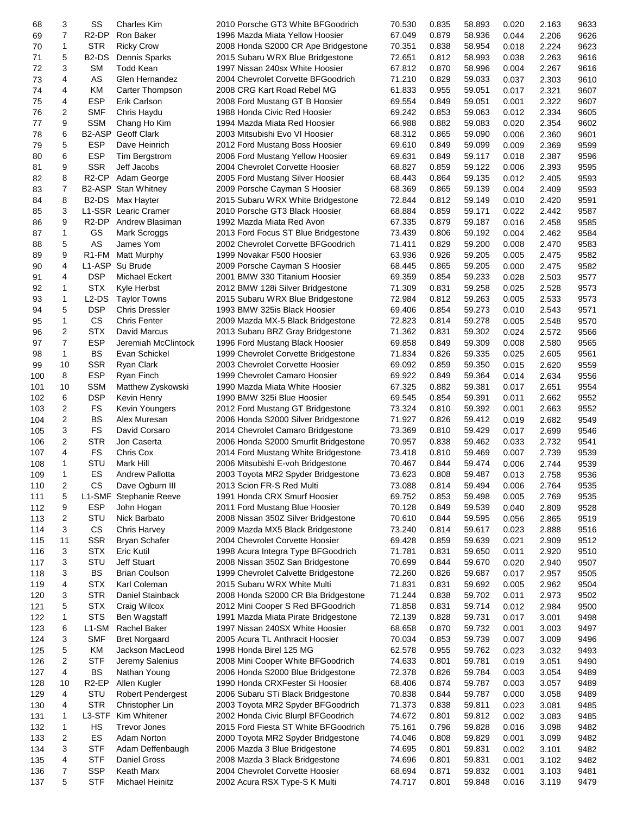| 68  | 3  | SS                             | <b>Charles Kim</b>     | 2010 Porsche GT3 White BFGoodrich    | 70.530 | 0.835 | 58.893 | 0.020 | 2.163 | 9633 |
|-----|----|--------------------------------|------------------------|--------------------------------------|--------|-------|--------|-------|-------|------|
| 69  | 7  | R <sub>2</sub> -DP             | Ron Baker              | 1996 Mazda Miata Yellow Hoosier      | 67.049 | 0.879 | 58.936 | 0.044 | 2.206 | 9626 |
| 70  | 1  | <b>STR</b>                     | <b>Ricky Crow</b>      | 2008 Honda S2000 CR Ape Bridgestone  | 70.351 | 0.838 | 58.954 | 0.018 | 2.224 | 9623 |
| 71  | 5  | B <sub>2</sub> -D <sub>S</sub> | Dennis Sparks          | 2015 Subaru WRX Blue Bridgestone     | 72.651 | 0.812 | 58.993 | 0.038 | 2.263 | 9616 |
|     |    |                                |                        |                                      |        |       |        |       |       |      |
| 72  | 3  | SМ                             | <b>Todd Kean</b>       | 1997 Nissan 240sx White Hoosier      | 67.812 | 0.870 | 58.996 | 0.004 | 2.267 | 9616 |
| 73  | 4  | AS                             | Glen Hernandez         | 2004 Chevrolet Corvette BFGoodrich   | 71.210 | 0.829 | 59.033 | 0.037 | 2.303 | 9610 |
| 74  | 4  | KM                             | Carter Thompson        | 2008 CRG Kart Road Rebel MG          | 61.833 | 0.955 | 59.051 | 0.017 | 2.321 | 9607 |
| 75  | 4  | <b>ESP</b>                     | Erik Carlson           | 2008 Ford Mustang GT B Hoosier       | 69.554 | 0.849 | 59.051 | 0.001 | 2.322 | 9607 |
| 76  | 2  | <b>SMF</b>                     | Chris Haydu            | 1988 Honda Civic Red Hoosier         | 69.242 | 0.853 | 59.063 | 0.012 | 2.334 | 9605 |
| 77  | 9  | <b>SSM</b>                     | Chang Ho Kim           | 1994 Mazda Miata Red Hoosier         | 66.988 | 0.882 | 59.083 | 0.020 | 2.354 | 9602 |
| 78  | 6  | B <sub>2</sub> -ASP            | <b>Geoff Clark</b>     | 2003 Mitsubishi Evo VI Hoosier       | 68.312 | 0.865 | 59.090 | 0.006 | 2.360 | 9601 |
| 79  | 5  | ESP                            | Dave Heinrich          | 2012 Ford Mustang Boss Hoosier       | 69.610 | 0.849 | 59.099 | 0.009 | 2.369 | 9599 |
| 80  | 6  | <b>ESP</b>                     |                        | 2006 Ford Mustang Yellow Hoosier     | 69.631 | 0.849 | 59.117 | 0.018 | 2.387 | 9596 |
|     |    |                                | Tim Bergstrom          |                                      |        |       |        |       |       |      |
| 81  | 9  | <b>SSR</b>                     | Jeff Jacobs            | 2004 Chevrolet Corvette Hoosier      | 68.827 | 0.859 | 59.122 | 0.006 | 2.393 | 9595 |
| 82  | 8  | R <sub>2</sub> -CP             | Adam George            | 2005 Ford Mustang Silver Hoosier     | 68.443 | 0.864 | 59.135 | 0.012 | 2.405 | 9593 |
| 83  | 7  |                                | B2-ASP Stan Whitney    | 2009 Porsche Cayman S Hoosier        | 68.369 | 0.865 | 59.139 | 0.004 | 2.409 | 9593 |
| 84  | 8  | B <sub>2</sub> -D <sub>S</sub> | Max Hayter             | 2015 Subaru WRX White Bridgestone    | 72.844 | 0.812 | 59.149 | 0.010 | 2.420 | 9591 |
| 85  | 3  |                                | L1-SSR Learic Cramer   | 2010 Porsche GT3 Black Hoosier       | 68.884 | 0.859 | 59.171 | 0.022 | 2.442 | 9587 |
| 86  | 9  | R <sub>2</sub> -DP             | Andrew Blasiman        | 1992 Mazda Miata Red Avon            | 67.335 | 0.879 | 59.187 | 0.016 | 2.458 | 9585 |
| 87  | 1  | GS                             | Mark Scroggs           | 2013 Ford Focus ST Blue Bridgestone  | 73.439 | 0.806 | 59.192 | 0.004 | 2.462 | 9584 |
|     | 5  | AS                             | James Yom              | 2002 Chevrolet Corvette BFGoodrich   |        | 0.829 | 59.200 | 0.008 | 2.470 | 9583 |
| 88  |    |                                |                        |                                      | 71.411 |       |        |       |       |      |
| 89  | 9  | R <sub>1</sub> -FM             | <b>Matt Murphy</b>     | 1999 Novakar F500 Hoosier            | 63.936 | 0.926 | 59.205 | 0.005 | 2.475 | 9582 |
| 90  | 4  | L1-ASP                         | Su Brude               | 2009 Porsche Cayman S Hoosier        | 68.445 | 0.865 | 59.205 | 0.000 | 2.475 | 9582 |
| 91  | 4  | <b>DSP</b>                     | <b>Michael Eckert</b>  | 2001 BMW 330 Titanium Hoosier        | 69.359 | 0.854 | 59.233 | 0.028 | 2.503 | 9577 |
| 92  | 1  | <b>STX</b>                     | Kyle Herbst            | 2012 BMW 128i Silver Bridgestone     | 71.309 | 0.831 | 59.258 | 0.025 | 2.528 | 9573 |
| 93  | 1  | L2-DS                          | <b>Taylor Towns</b>    | 2015 Subaru WRX Blue Bridgestone     | 72.984 | 0.812 | 59.263 | 0.005 | 2.533 | 9573 |
| 94  | 5  | <b>DSP</b>                     | <b>Chris Dressler</b>  | 1993 BMW 325is Black Hoosier         | 69.406 | 0.854 | 59.273 | 0.010 | 2.543 | 9571 |
| 95  | 1  | <b>CS</b>                      | <b>Chris Fenter</b>    | 2009 Mazda MX-5 Black Bridgestone    | 72.823 | 0.814 | 59.278 | 0.005 | 2.548 | 9570 |
|     | 2  | <b>STX</b>                     | David Marcus           |                                      | 71.362 | 0.831 | 59.302 | 0.024 | 2.572 | 9566 |
| 96  |    |                                |                        | 2013 Subaru BRZ Gray Bridgestone     |        |       |        |       |       |      |
| 97  | 7  | <b>ESP</b>                     | Jeremiah McClintock    | 1996 Ford Mustang Black Hoosier      | 69.858 | 0.849 | 59.309 | 0.008 | 2.580 | 9565 |
| 98  | 1  | BS                             | Evan Schickel          | 1999 Chevrolet Corvette Bridgestone  | 71.834 | 0.826 | 59.335 | 0.025 | 2.605 | 9561 |
| 99  | 10 | <b>SSR</b>                     | Ryan Clark             | 2003 Chevrolet Corvette Hoosier      | 69.092 | 0.859 | 59.350 | 0.015 | 2.620 | 9559 |
| 100 | 8  | <b>ESP</b>                     | Ryan Finch             | 1999 Chevrolet Camaro Hoosier        | 69.922 | 0.849 | 59.364 | 0.014 | 2.634 | 9556 |
| 101 | 10 | <b>SSM</b>                     | Matthew Zyskowski      | 1990 Mazda Miata White Hoosier       | 67.325 | 0.882 | 59.381 | 0.017 | 2.651 | 9554 |
| 102 | 6  | <b>DSP</b>                     | Kevin Henry            | 1990 BMW 325i Blue Hoosier           | 69.545 | 0.854 | 59.391 | 0.011 | 2.662 | 9552 |
| 103 | 2  | FS                             | Kevin Youngers         | 2012 Ford Mustang GT Bridgestone     | 73.324 | 0.810 | 59.392 | 0.001 | 2.663 | 9552 |
| 104 | 2  | <b>BS</b>                      | Alex Muresan           | 2006 Honda S2000 Silver Bridgestone  | 71.927 | 0.826 | 59.412 | 0.019 | 2.682 | 9549 |
|     |    |                                |                        |                                      |        |       |        |       |       |      |
| 105 | 3  | <b>FS</b>                      | David Corsaro          | 2014 Chevrolet Camaro Bridgestone    | 73.369 | 0.810 | 59.429 | 0.017 | 2.699 | 9546 |
| 106 | 2  | <b>STR</b>                     | Jon Caserta            | 2006 Honda S2000 Smurfit Bridgestone | 70.957 | 0.838 | 59.462 | 0.033 | 2.732 | 9541 |
| 107 | 4  | FS                             | Chris Cox              | 2014 Ford Mustang White Bridgestone  | 73.418 | 0.810 | 59.469 | 0.007 | 2.739 | 9539 |
| 108 | 1  | STU                            | Mark Hill              | 2006 Mitsubishi E-voh Bridgestone    | 70.467 | 0.844 | 59.474 | 0.006 | 2.744 | 9539 |
| 109 | 1  | ES                             | <b>Andrew Pallotta</b> | 2003 Toyota MR2 Spyder Bridgestone   | 73.623 | 0.808 | 59.487 | 0.013 | 2.758 | 9536 |
| 110 | 2  | <b>CS</b>                      | Dave Ogburn III        | 2013 Scion FR-S Red Multi            | 73.088 | 0.814 | 59.494 | 0.006 | 2.764 | 9535 |
| 111 | 5  | L1-SMF                         | Stephanie Reeve        | 1991 Honda CRX Smurf Hoosier         | 69.752 | 0.853 | 59.498 | 0.005 | 2.769 | 9535 |
| 112 | 9  | <b>ESP</b>                     | John Hogan             | 2011 Ford Mustang Blue Hoosier       | 70.128 | 0.849 | 59.539 | 0.040 | 2.809 | 9528 |
|     |    |                                |                        |                                      |        |       |        |       |       |      |
| 113 | 2  | STU                            | Nick Barbato           | 2008 Nissan 350Z Silver Bridgestone  | 70.610 | 0.844 | 59.595 | 0.056 | 2.865 | 9519 |
| 114 | 3  | CS                             | <b>Chris Harvey</b>    | 2009 Mazda MX5 Black Bridgestone     | 73.240 | 0.814 | 59.617 | 0.023 | 2.888 | 9516 |
| 115 | 11 | <b>SSR</b>                     | <b>Bryan Schafer</b>   | 2004 Chevrolet Corvette Hoosier      | 69.428 | 0.859 | 59.639 | 0.021 | 2.909 | 9512 |
| 116 | 3  | <b>STX</b>                     | Eric Kutil             | 1998 Acura Integra Type BFGoodrich   | 71.781 | 0.831 | 59.650 | 0.011 | 2.920 | 9510 |
| 117 | 3  | STU                            | Jeff Stuart            | 2008 Nissan 350Z San Bridgestone     | 70.699 | 0.844 | 59.670 | 0.020 | 2.940 | 9507 |
| 118 | 3  | BS                             | <b>Brian Coulson</b>   | 1999 Chevrolet Calvette Bridgestone  | 72.260 | 0.826 | 59.687 | 0.017 | 2.957 | 9505 |
| 119 | 4  | <b>STX</b>                     | Karl Coleman           | 2015 Subaru WRX White Multi          | 71.831 | 0.831 | 59.692 | 0.005 | 2.962 | 9504 |
| 120 | 3  | <b>STR</b>                     | Daniel Stainback       | 2008 Honda S2000 CR Bla Bridgestone  | 71.244 | 0.838 | 59.702 | 0.011 | 2.973 | 9502 |
|     |    |                                |                        |                                      |        |       |        |       |       |      |
| 121 | 5  | <b>STX</b>                     | Craig Wilcox           | 2012 Mini Cooper S Red BFGoodrich    | 71.858 | 0.831 | 59.714 | 0.012 | 2.984 | 9500 |
| 122 | 1  | <b>STS</b>                     | Ben Wagstaff           | 1991 Mazda Miata Pirate Bridgestone  | 72.139 | 0.828 | 59.731 | 0.017 | 3.001 | 9498 |
| 123 | 6  | L1-SM                          | Rachel Baker           | 1997 Nissan 240SX White Hoosier      | 68.658 | 0.870 | 59.732 | 0.001 | 3.003 | 9497 |
| 124 | 3  | <b>SMF</b>                     | <b>Bret Norgaard</b>   | 2005 Acura TL Anthracit Hoosier      | 70.034 | 0.853 | 59.739 | 0.007 | 3.009 | 9496 |
| 125 | 5  | ΚM                             | Jackson MacLeod        | 1998 Honda Birel 125 MG              | 62.578 | 0.955 | 59.762 | 0.023 | 3.032 | 9493 |
| 126 | 2  | <b>STF</b>                     | Jeremy Salenius        | 2008 Mini Cooper White BFGoodrich    | 74.633 | 0.801 | 59.781 | 0.019 | 3.051 | 9490 |
| 127 | 4  | BS                             | Nathan Young           | 2006 Honda S2000 Blue Bridgestone    | 72.378 | 0.826 | 59.784 | 0.003 | 3.054 | 9489 |
| 128 | 10 | R <sub>2</sub> -EP             | Allen Kugler           | 1990 Honda CRXFester Si Hoosier      | 68.406 | 0.874 | 59.787 | 0.003 | 3.057 | 9489 |
| 129 | 4  | STU                            |                        |                                      | 70.838 | 0.844 | 59.787 | 0.000 |       | 9489 |
|     |    |                                | Robert Pendergest      | 2006 Subaru STi Black Bridgestone    |        |       |        |       | 3.058 |      |
| 130 | 4  | <b>STR</b>                     | Christopher Lin        | 2003 Toyota MR2 Spyder BFGoodrich    | 71.373 | 0.838 | 59.811 | 0.023 | 3.081 | 9485 |
| 131 | 1  | L3-STF                         | Kim Whitener           | 2002 Honda Civic Blurpl BFGoodrich   | 74.672 | 0.801 | 59.812 | 0.002 | 3.083 | 9485 |
| 132 | 1  | HS                             | <b>Trevor Jones</b>    | 2015 Ford Fiesta ST White BFGoodrich | 75.161 | 0.796 | 59.828 | 0.016 | 3.098 | 9482 |
| 133 | 2  | ES                             | Adam Norton            | 2000 Toyota MR2 Spyder Bridgestone   | 74.046 | 0.808 | 59.829 | 0.001 | 3.099 | 9482 |
| 134 | 3  | <b>STF</b>                     | Adam Deffenbaugh       | 2006 Mazda 3 Blue Bridgestone        | 74.695 | 0.801 | 59.831 | 0.002 | 3.101 | 9482 |
| 135 | 4  | <b>STF</b>                     | Daniel Gross           | 2008 Mazda 3 Black Bridgestone       | 74.696 | 0.801 | 59.831 | 0.001 | 3.102 | 9482 |
| 136 | 7  | <b>SSP</b>                     | Keath Marx             | 2004 Chevrolet Corvette Hoosier      | 68.694 | 0.871 | 59.832 | 0.001 | 3.103 | 9481 |
| 137 | 5  | STF                            | Michael Heinitz        | 2002 Acura RSX Type-S K Multi        | 74.717 | 0.801 | 59.848 | 0.016 | 3.119 | 9479 |
|     |    |                                |                        |                                      |        |       |        |       |       |      |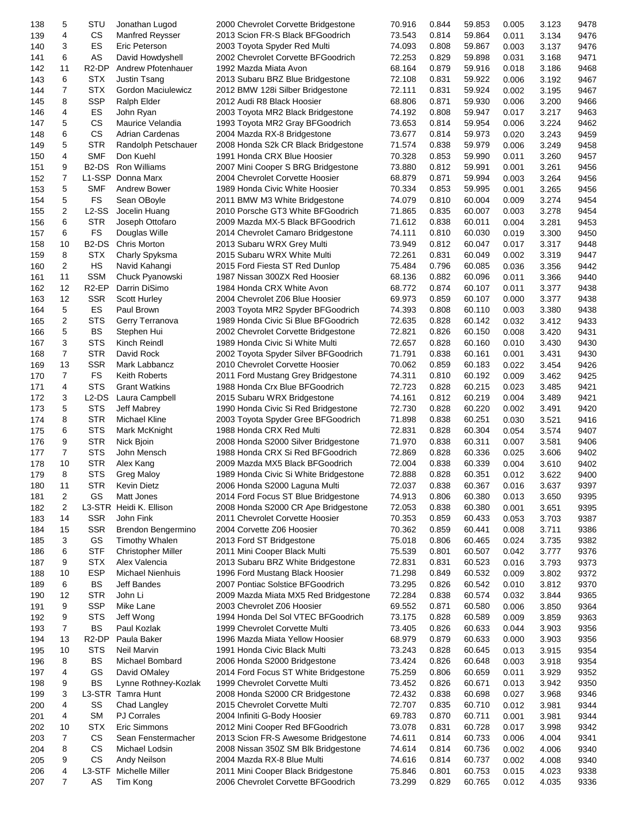| 138 | 5              | STU                            | Jonathan Lugod            | 2000 Chevrolet Corvette Bridgestone   | 70.916 | 0.844 | 59.853 | 0.005 | 3.123 | 9478 |
|-----|----------------|--------------------------------|---------------------------|---------------------------------------|--------|-------|--------|-------|-------|------|
| 139 | 4              | <b>CS</b>                      | <b>Manfred Reysser</b>    | 2013 Scion FR-S Black BFGoodrich      | 73.543 | 0.814 | 59.864 | 0.011 | 3.134 | 9476 |
| 140 | 3              | ES                             | Eric Peterson             | 2003 Toyota Spyder Red Multi          | 74.093 | 0.808 | 59.867 | 0.003 | 3.137 | 9476 |
| 141 | 6              | AS                             | David Howdyshell          | 2002 Chevrolet Corvette BFGoodrich    | 72.253 | 0.829 | 59.898 | 0.031 | 3.168 | 9471 |
| 142 | 11             | R <sub>2</sub> -DP             | Andrew Pfotenhauer        | 1992 Mazda Miata Avon                 | 68.164 | 0.879 | 59.916 | 0.018 | 3.186 | 9468 |
| 143 | 6              | <b>STX</b>                     | Justin Tsang              | 2013 Subaru BRZ Blue Bridgestone      | 72.108 | 0.831 | 59.922 | 0.006 | 3.192 | 9467 |
| 144 | 7              | <b>STX</b>                     | Gordon Maciulewicz        | 2012 BMW 128i Silber Bridgestone      | 72.111 | 0.831 | 59.924 | 0.002 | 3.195 | 9467 |
| 145 | 8              | <b>SSP</b>                     | Ralph Elder               | 2012 Audi R8 Black Hoosier            | 68.806 | 0.871 | 59.930 | 0.006 | 3.200 | 9466 |
| 146 | 4              | ES                             | John Ryan                 | 2003 Toyota MR2 Black Bridgestone     | 74.192 | 0.808 | 59.947 | 0.017 | 3.217 | 9463 |
| 147 | 5              | CS                             | Maurice Velandia          | 1993 Toyota MR2 Gray BFGoodrich       | 73.653 | 0.814 | 59.954 | 0.006 | 3.224 | 9462 |
|     | 6              | <b>CS</b>                      | Adrian Cardenas           | 2004 Mazda RX-8 Bridgestone           | 73.677 | 0.814 | 59.973 |       |       |      |
| 148 |                |                                |                           |                                       |        |       |        | 0.020 | 3.243 | 9459 |
| 149 | 5              | <b>STR</b>                     | Randolph Petschauer       | 2008 Honda S2k CR Black Bridgestone   | 71.574 | 0.838 | 59.979 | 0.006 | 3.249 | 9458 |
| 150 | 4              | <b>SMF</b>                     | Don Kuehl                 | 1991 Honda CRX Blue Hoosier           | 70.328 | 0.853 | 59.990 | 0.011 | 3.260 | 9457 |
| 151 | 9              | B <sub>2</sub> -D <sub>S</sub> | <b>Ron Williams</b>       | 2007 Mini Cooper S BRG Bridgestone    | 73.880 | 0.812 | 59.991 | 0.001 | 3.261 | 9456 |
| 152 | 7              | L1-SSP                         | Donna Marx                | 2004 Chevrolet Corvette Hoosier       | 68.879 | 0.871 | 59.994 | 0.003 | 3.264 | 9456 |
| 153 | 5              | <b>SMF</b>                     | Andrew Bower              | 1989 Honda Civic White Hoosier        | 70.334 | 0.853 | 59.995 | 0.001 | 3.265 | 9456 |
| 154 | 5              | FS                             | Sean OBoyle               | 2011 BMW M3 White Bridgestone         | 74.079 | 0.810 | 60.004 | 0.009 | 3.274 | 9454 |
| 155 | 2              | $L2-SS$                        | Jocelin Huang             | 2010 Porsche GT3 White BFGoodrich     | 71.865 | 0.835 | 60.007 | 0.003 | 3.278 | 9454 |
| 156 | 6              | <b>STR</b>                     | Joseph Ottofaro           | 2009 Mazda MX-5 Black BFGoodrich      | 71.612 | 0.838 | 60.011 | 0.004 | 3.281 | 9453 |
| 157 | 6              | <b>FS</b>                      | Douglas Wille             | 2014 Chevrolet Camaro Bridgestone     | 74.111 | 0.810 | 60.030 | 0.019 | 3.300 | 9450 |
| 158 | 10             | B <sub>2</sub> -D <sub>S</sub> | <b>Chris Morton</b>       | 2013 Subaru WRX Grey Multi            | 73.949 | 0.812 | 60.047 | 0.017 | 3.317 | 9448 |
| 159 | 8              | <b>STX</b>                     | Charly Spyksma            | 2015 Subaru WRX White Multi           | 72.261 | 0.831 | 60.049 | 0.002 | 3.319 | 9447 |
| 160 | 2              | HS                             | Navid Kahangi             | 2015 Ford Fiesta ST Red Dunlop        | 75.484 | 0.796 | 60.085 | 0.036 | 3.356 | 9442 |
| 161 | 11             | <b>SSM</b>                     | Chuck Pyanowski           | 1987 Nissan 300ZX Red Hoosier         | 68.136 | 0.882 | 60.096 |       | 3.366 | 9440 |
|     |                |                                |                           |                                       |        |       |        | 0.011 |       |      |
| 162 | 12             | R <sub>2</sub> -EP             | Darrin DiSimo             | 1984 Honda CRX White Avon             | 68.772 | 0.874 | 60.107 | 0.011 | 3.377 | 9438 |
| 163 | 12             | <b>SSR</b>                     | <b>Scott Hurley</b>       | 2004 Chevrolet Z06 Blue Hoosier       | 69.973 | 0.859 | 60.107 | 0.000 | 3.377 | 9438 |
| 164 | 5              | ES                             | Paul Brown                | 2003 Toyota MR2 Spyder BFGoodrich     | 74.393 | 0.808 | 60.110 | 0.003 | 3.380 | 9438 |
| 165 | 2              | <b>STS</b>                     | Gerry Terranova           | 1989 Honda Civic Si Blue BFGoodrich   | 72.635 | 0.828 | 60.142 | 0.032 | 3.412 | 9433 |
| 166 | 5              | BS                             | Stephen Hui               | 2002 Chevrolet Corvette Bridgestone   | 72.821 | 0.826 | 60.150 | 0.008 | 3.420 | 9431 |
| 167 | 3              | <b>STS</b>                     | Kinch Reindl              | 1989 Honda Civic Si White Multi       | 72.657 | 0.828 | 60.160 | 0.010 | 3.430 | 9430 |
| 168 | 7              | <b>STR</b>                     | David Rock                | 2002 Toyota Spyder Silver BFGoodrich  | 71.791 | 0.838 | 60.161 | 0.001 | 3.431 | 9430 |
| 169 | 13             | <b>SSR</b>                     | Mark Labbancz             | 2010 Chevrolet Corvette Hoosier       | 70.062 | 0.859 | 60.183 | 0.022 | 3.454 | 9426 |
| 170 | $\overline{7}$ | <b>FS</b>                      | Keith Roberts             | 2011 Ford Mustang Grey Bridgestone    | 74.311 | 0.810 | 60.192 | 0.009 | 3.462 | 9425 |
| 171 | 4              | <b>STS</b>                     | <b>Grant Watkins</b>      | 1988 Honda Crx Blue BFGoodrich        | 72.723 | 0.828 | 60.215 | 0.023 | 3.485 | 9421 |
| 172 | 3              | $L2$ -DS                       | Laura Campbell            | 2015 Subaru WRX Bridgestone           | 74.161 | 0.812 | 60.219 | 0.004 | 3.489 | 9421 |
| 173 | 5              | <b>STS</b>                     | Jeff Mabrey               | 1990 Honda Civic Si Red Bridgestone   | 72.730 | 0.828 | 60.220 | 0.002 | 3.491 | 9420 |
| 174 | 8              | <b>STR</b>                     | <b>Michael Kline</b>      | 2003 Toyota Spyder Gree BFGoodrich    | 71.898 | 0.838 | 60.251 | 0.030 | 3.521 | 9416 |
|     |                |                                |                           |                                       |        |       |        |       |       |      |
| 175 | 6              | <b>STS</b>                     | Mark McKnight             | 1988 Honda CRX Red Multi              | 72.831 | 0.828 | 60.304 | 0.054 | 3.574 | 9407 |
| 176 | 9              | <b>STR</b>                     | Nick Bioin                | 2008 Honda S2000 Silver Bridgestone   | 71.970 | 0.838 | 60.311 | 0.007 | 3.581 | 9406 |
| 177 | 7              | <b>STS</b>                     | John Mensch               | 1988 Honda CRX Si Red BFGoodrich      | 72.869 | 0.828 | 60.336 | 0.025 | 3.606 | 9402 |
| 178 | 10             | <b>STR</b>                     | Alex Kang                 | 2009 Mazda MX5 Black BFGoodrich       | 72.004 | 0.838 | 60.339 | 0.004 | 3.610 | 9402 |
| 179 | 8              | <b>STS</b>                     | Greg Maloy                | 1989 Honda Civic Si White Bridgestone | 72.888 | 0.828 | 60.351 | 0.012 | 3.622 | 9400 |
| 180 | 11             | <b>STR</b>                     | Kevin Dietz               | 2006 Honda S2000 Laguna Multi         | 72.037 | 0.838 | 60.367 | 0.016 | 3.637 | 9397 |
| 181 | $\overline{c}$ | GS                             | Matt Jones                | 2014 Ford Focus ST Blue Bridgestone   | 74.913 | 0.806 | 60.380 | 0.013 | 3.650 | 9395 |
| 182 | 2              | L3-STR                         | Heidi K. Ellison          | 2008 Honda S2000 CR Ape Bridgestone   | 72.053 | 0.838 | 60.380 | 0.001 | 3.651 | 9395 |
| 183 | 14             | <b>SSR</b>                     | John Fink                 | 2011 Chevrolet Corvette Hoosier       | 70.353 | 0.859 | 60.433 | 0.053 | 3.703 | 9387 |
| 184 | 15             | <b>SSR</b>                     | Brendon Bengermino        | 2004 Corvette Z06 Hoosier             | 70.362 | 0.859 | 60.441 | 0.008 | 3.711 | 9386 |
| 185 | 3              | GS                             | <b>Timothy Whalen</b>     | 2013 Ford ST Bridgestone              | 75.018 | 0.806 | 60.465 | 0.024 | 3.735 | 9382 |
| 186 | 6              | <b>STF</b>                     | <b>Christopher Miller</b> | 2011 Mini Cooper Black Multi          | 75.539 | 0.801 | 60.507 | 0.042 | 3.777 | 9376 |
| 187 | 9              | <b>STX</b>                     | Alex Valencia             | 2013 Subaru BRZ White Bridgestone     | 72.831 | 0.831 | 60.523 | 0.016 | 3.793 | 9373 |
| 188 | 10             | <b>ESP</b>                     | <b>Michael Nienhuis</b>   | 1996 Ford Mustang Black Hoosier       | 71.298 | 0.849 | 60.532 | 0.009 | 3.802 | 9372 |
| 189 | 6              | BS                             | <b>Jeff Bandes</b>        | 2007 Pontiac Solstice BFGoodrich      | 73.295 | 0.826 | 60.542 | 0.010 | 3.812 | 9370 |
| 190 | 12             | <b>STR</b>                     | John Li                   | 2009 Mazda Miata MX5 Red Bridgestone  | 72.284 | 0.838 | 60.574 | 0.032 | 3.844 | 9365 |
| 191 | 9              | <b>SSP</b>                     | Mike Lane                 | 2003 Chevrolet Z06 Hoosier            | 69.552 | 0.871 | 60.580 | 0.006 | 3.850 | 9364 |
|     |                |                                |                           |                                       |        |       |        |       |       |      |
| 192 | 9              | <b>STS</b>                     | Jeff Wong                 | 1994 Honda Del Sol VTEC BFGoodrich    | 73.175 | 0.828 | 60.589 | 0.009 | 3.859 | 9363 |
| 193 | $\overline{7}$ | BS                             | Paul Kozlak               | 1999 Chevrolet Corvette Multi         | 73.405 | 0.826 | 60.633 | 0.044 | 3.903 | 9356 |
| 194 | 13             | R <sub>2</sub> -DP             | Paula Baker               | 1996 Mazda Miata Yellow Hoosier       | 68.979 | 0.879 | 60.633 | 0.000 | 3.903 | 9356 |
| 195 | 10             | <b>STS</b>                     | Neil Marvin               | 1991 Honda Civic Black Multi          | 73.243 | 0.828 | 60.645 | 0.013 | 3.915 | 9354 |
| 196 | 8              | BS                             | Michael Bombard           | 2006 Honda S2000 Bridgestone          | 73.424 | 0.826 | 60.648 | 0.003 | 3.918 | 9354 |
| 197 | 4              | GS                             | David OMaley              | 2014 Ford Focus ST White Bridgestone  | 75.259 | 0.806 | 60.659 | 0.011 | 3.929 | 9352 |
| 198 | 9              | <b>BS</b>                      | Lynne Rothney-Kozlak      | 1999 Chevrolet Corvette Multi         | 73.452 | 0.826 | 60.671 | 0.013 | 3.942 | 9350 |
| 199 | 3              |                                | L3-STR Tamra Hunt         | 2008 Honda S2000 CR Bridgestone       | 72.432 | 0.838 | 60.698 | 0.027 | 3.968 | 9346 |
| 200 | 4              | SS                             | Chad Langley              | 2015 Chevrolet Corvette Multi         | 72.707 | 0.835 | 60.710 | 0.012 | 3.981 | 9344 |
| 201 | 4              | <b>SM</b>                      | <b>PJ Corrales</b>        | 2004 Infiniti G-Body Hoosier          | 69.783 | 0.870 | 60.711 | 0.001 | 3.981 | 9344 |
| 202 | 10             | <b>STX</b>                     | Eric Simmons              | 2012 Mini Cooper Red BFGoodrich       | 73.078 | 0.831 | 60.728 | 0.017 | 3.998 | 9342 |
| 203 | $\overline{7}$ | CS                             | Sean Fenstermacher        | 2013 Scion FR-S Awesome Bridgestone   | 74.611 | 0.814 | 60.733 | 0.006 | 4.004 | 9341 |
| 204 | 8              | CS                             | Michael Lodsin            | 2008 Nissan 350Z SM Blk Bridgestone   | 74.614 | 0.814 | 60.736 | 0.002 | 4.006 | 9340 |
| 205 | 9              | CS                             | Andy Neilson              | 2004 Mazda RX-8 Blue Multi            | 74.616 | 0.814 | 60.737 | 0.002 | 4.008 | 9340 |
| 206 | 4              | L3-STF                         | Michelle Miller           | 2011 Mini Cooper Black Bridgestone    | 75.846 | 0.801 | 60.753 | 0.015 | 4.023 | 9338 |
|     | 7              | AS                             |                           |                                       |        | 0.829 | 60.765 |       |       | 9336 |
| 207 |                |                                | Tim Kong                  | 2006 Chevrolet Corvette BFGoodrich    | 73.299 |       |        | 0.012 | 4.035 |      |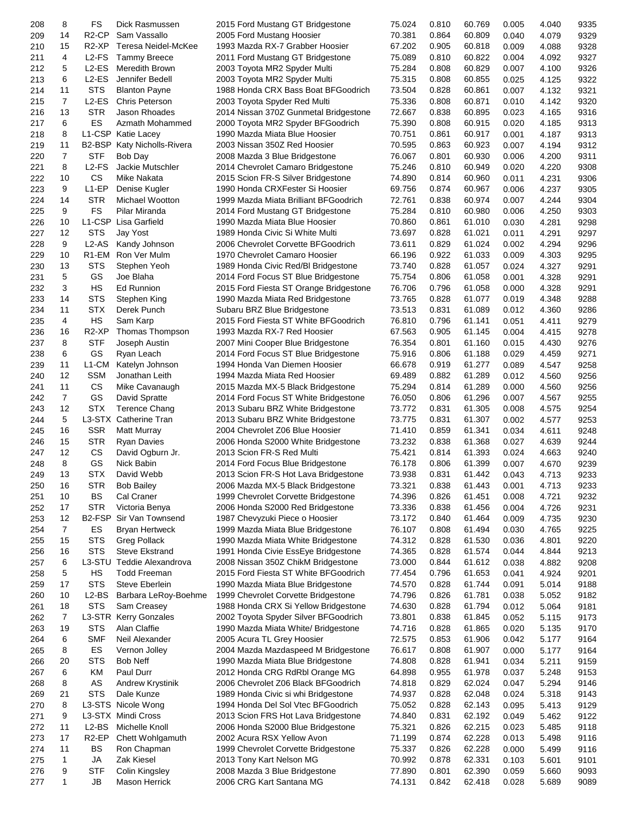| 208 | 8              | FS                  | Dick Rasmussen              | 2015 Ford Mustang GT Bridgestone       | 75.024 | 0.810 | 60.769 | 0.005 | 4.040 | 9335 |
|-----|----------------|---------------------|-----------------------------|----------------------------------------|--------|-------|--------|-------|-------|------|
| 209 | 14             | R <sub>2</sub> -CP  | Sam Vassallo                | 2005 Ford Mustang Hoosier              | 70.381 | 0.864 | 60.809 | 0.040 | 4.079 | 9329 |
| 210 | 15             | R <sub>2</sub> -XP  | Teresa Neidel-McKee         | 1993 Mazda RX-7 Grabber Hoosier        | 67.202 | 0.905 | 60.818 | 0.009 | 4.088 | 9328 |
| 211 | 4              | L <sub>2</sub> -FS  | <b>Tammy Breece</b>         | 2011 Ford Mustang GT Bridgestone       | 75.089 | 0.810 | 60.822 | 0.004 | 4.092 | 9327 |
| 212 | 5              | $L2$ -ES            | Meredith Brown              | 2003 Toyota MR2 Spyder Multi           | 75.284 | 0.808 | 60.829 |       | 4.100 | 9326 |
|     |                |                     |                             |                                        |        |       |        | 0.007 |       |      |
| 213 | 6              | $L2$ -ES            | Jennifer Bedell             | 2003 Toyota MR2 Spyder Multi           | 75.315 | 0.808 | 60.855 | 0.025 | 4.125 | 9322 |
| 214 | 11             | <b>STS</b>          | <b>Blanton Payne</b>        | 1988 Honda CRX Bass Boat BFGoodrich    | 73.504 | 0.828 | 60.861 | 0.007 | 4.132 | 9321 |
| 215 | 7              | L <sub>2</sub> -ES  | <b>Chris Peterson</b>       | 2003 Toyota Spyder Red Multi           | 75.336 | 0.808 | 60.871 | 0.010 | 4.142 | 9320 |
| 216 | 13             | <b>STR</b>          | Jason Rhoades               | 2014 Nissan 370Z Gunmetal Bridgestone  | 72.667 | 0.838 | 60.895 | 0.023 | 4.165 | 9316 |
| 217 | 6              | ES                  | Azmath Mohammed             | 2000 Toyota MR2 Spyder BFGoodrich      | 75.390 | 0.808 | 60.915 | 0.020 | 4.185 | 9313 |
| 218 | 8              |                     | L1-CSP Katie Lacey          | 1990 Mazda Miata Blue Hoosier          | 70.751 | 0.861 | 60.917 | 0.001 | 4.187 | 9313 |
| 219 | 11             |                     | B2-BSP Katy Nicholls-Rivera | 2003 Nissan 350Z Red Hoosier           | 70.595 | 0.863 | 60.923 | 0.007 | 4.194 | 9312 |
| 220 | 7              | <b>STF</b>          | Bob Day                     | 2008 Mazda 3 Blue Bridgestone          | 76.067 | 0.801 | 60.930 | 0.006 | 4.200 | 9311 |
|     |                |                     |                             |                                        |        |       |        |       |       |      |
| 221 | 8              | $L2-FS$             | Jackie Mutschler            | 2014 Chevrolet Camaro Bridgestone      | 75.246 | 0.810 | 60.949 | 0.020 | 4.220 | 9308 |
| 222 | 10             | <b>CS</b>           | Mike Nakata                 | 2015 Scion FR-S Silver Bridgestone     | 74.890 | 0.814 | 60.960 | 0.011 | 4.231 | 9306 |
| 223 | 9              | L1-EP               | Denise Kugler               | 1990 Honda CRXFester Si Hoosier        | 69.756 | 0.874 | 60.967 | 0.006 | 4.237 | 9305 |
| 224 | 14             | <b>STR</b>          | Michael Wootton             | 1999 Mazda Miata Brilliant BFGoodrich  | 72.761 | 0.838 | 60.974 | 0.007 | 4.244 | 9304 |
| 225 | 9              | <b>FS</b>           | Pilar Miranda               | 2014 Ford Mustang GT Bridgestone       | 75.284 | 0.810 | 60.980 | 0.006 | 4.250 | 9303 |
| 226 | 10             |                     | L1-CSP Lisa Garfield        | 1990 Mazda Miata Blue Hoosier          | 70.860 | 0.861 | 61.010 | 0.030 | 4.281 | 9298 |
| 227 | 12             | <b>STS</b>          | Jay Yost                    | 1989 Honda Civic Si White Multi        | 73.697 | 0.828 | 61.021 | 0.011 | 4.291 | 9297 |
| 228 | 9              | L <sub>2</sub> -AS  | Kandy Johnson               | 2006 Chevrolet Corvette BFGoodrich     | 73.611 | 0.829 | 61.024 | 0.002 | 4.294 | 9296 |
|     |                |                     |                             |                                        |        |       |        |       |       |      |
| 229 | 10             | R1-EM               | Ron Ver Mulm                | 1970 Chevrolet Camaro Hoosier          | 66.196 | 0.922 | 61.033 | 0.009 | 4.303 | 9295 |
| 230 | 13             | <b>STS</b>          | Stephen Yeoh                | 1989 Honda Civic Red/BI Bridgestone    | 73.740 | 0.828 | 61.057 | 0.024 | 4.327 | 9291 |
| 231 | 5              | GS                  | Joe Blaha                   | 2014 Ford Focus ST Blue Bridgestone    | 75.754 | 0.806 | 61.058 | 0.001 | 4.328 | 9291 |
| 232 | 3              | НS                  | Ed Runnion                  | 2015 Ford Fiesta ST Orange Bridgestone | 76.706 | 0.796 | 61.058 | 0.000 | 4.328 | 9291 |
| 233 | 14             | <b>STS</b>          | Stephen King                | 1990 Mazda Miata Red Bridgestone       | 73.765 | 0.828 | 61.077 | 0.019 | 4.348 | 9288 |
| 234 | 11             | <b>STX</b>          | Derek Punch                 | Subaru BRZ Blue Bridgestone            | 73.513 | 0.831 | 61.089 | 0.012 | 4.360 | 9286 |
| 235 | 4              | HS                  | Sam Karp                    | 2015 Ford Fiesta ST White BFGoodrich   | 76.810 | 0.796 | 61.141 | 0.051 | 4.411 | 9279 |
| 236 | 16             | R <sub>2</sub> -XP  | Thomas Thompson             | 1993 Mazda RX-7 Red Hoosier            | 67.563 | 0.905 | 61.145 | 0.004 | 4.415 | 9278 |
|     |                |                     |                             |                                        |        |       |        |       |       |      |
| 237 | 8              | <b>STF</b>          | Joseph Austin               | 2007 Mini Cooper Blue Bridgestone      | 76.354 | 0.801 | 61.160 | 0.015 | 4.430 | 9276 |
| 238 | 6              | GS                  | Ryan Leach                  | 2014 Ford Focus ST Blue Bridgestone    | 75.916 | 0.806 | 61.188 | 0.029 | 4.459 | 9271 |
| 239 | 11             | L1-CM               | Katelyn Johnson             | 1994 Honda Van Diemen Hoosier          | 66.678 | 0.919 | 61.277 | 0.089 | 4.547 | 9258 |
| 240 | 12             | <b>SSM</b>          | Jonathan Leith              | 1994 Mazda Miata Red Hoosier           | 69.489 | 0.882 | 61.289 | 0.012 | 4.560 | 9256 |
| 241 | 11             | CS                  | Mike Cavanaugh              | 2015 Mazda MX-5 Black Bridgestone      | 75.294 | 0.814 | 61.289 | 0.000 | 4.560 | 9256 |
| 242 | $\overline{7}$ | GS                  | David Spratte               | 2014 Ford Focus ST White Bridgestone   | 76.050 | 0.806 | 61.296 | 0.007 | 4.567 | 9255 |
| 243 | 12             | <b>STX</b>          | <b>Terence Chang</b>        | 2013 Subaru BRZ White Bridgestone      | 73.772 | 0.831 | 61.305 | 0.008 | 4.575 | 9254 |
| 244 | 5              |                     | L3-STX Catherine Tran       | 2013 Subaru BRZ White Bridgestone      | 73.775 | 0.831 | 61.307 | 0.002 | 4.577 | 9253 |
|     |                |                     |                             |                                        |        |       |        |       |       |      |
| 245 | 16             | <b>SSR</b>          | Matt Murray                 | 2004 Chevrolet Z06 Blue Hoosier        | 71.410 | 0.859 | 61.341 | 0.034 | 4.611 | 9248 |
| 246 | 15             | <b>STR</b>          | <b>Ryan Davies</b>          | 2006 Honda S2000 White Bridgestone     | 73.232 | 0.838 | 61.368 | 0.027 | 4.639 | 9244 |
| 247 | 12             | CS                  | David Ogburn Jr.            | 2013 Scion FR-S Red Multi              | 75.421 | 0.814 | 61.393 | 0.024 | 4.663 | 9240 |
| 248 | 8              | GS                  | Nick Babin                  | 2014 Ford Focus Blue Bridgestone       | 76.178 | 0.806 | 61.399 | 0.007 | 4.670 | 9239 |
| 249 | 13             | <b>STX</b>          | David Webb                  | 2013 Scion FR-S Hot Lava Bridgestone   | 73.938 | 0.831 | 61.442 | 0.043 | 4.713 | 9233 |
| 250 | 16             | <b>STR</b>          | <b>Bob Bailey</b>           | 2006 Mazda MX-5 Black Bridgestone      | 73.321 | 0.838 | 61.443 | 0.001 | 4.713 | 9233 |
| 251 | 10             | BS                  | Cal Craner                  | 1999 Chevrolet Corvette Bridgestone    | 74.396 | 0.826 | 61.451 | 0.008 | 4.721 | 9232 |
| 252 | 17             | <b>STR</b>          | Victoria Benya              | 2006 Honda S2000 Red Bridgestone       | 73.336 | 0.838 | 61.456 | 0.004 | 4.726 | 9231 |
|     | 12             | B <sub>2</sub> -FSP | Sir Van Townsend            |                                        | 73.172 |       | 61.464 |       |       |      |
| 253 |                |                     |                             | 1987 Chevyzuki Piece o Hoosier         |        | 0.840 |        | 0.009 | 4.735 | 9230 |
| 254 | $\overline{7}$ | ES                  | <b>Bryan Hertweck</b>       | 1999 Mazda Miata Blue Bridgestone      | 76.107 | 0.808 | 61.494 | 0.030 | 4.765 | 9225 |
| 255 | 15             | <b>STS</b>          | <b>Greg Pollack</b>         | 1990 Mazda Miata White Bridgestone     | 74.312 | 0.828 | 61.530 | 0.036 | 4.801 | 9220 |
| 256 | 16             | <b>STS</b>          | <b>Steve Ekstrand</b>       | 1991 Honda Civie EssEye Bridgestone    | 74.365 | 0.828 | 61.574 | 0.044 | 4.844 | 9213 |
| 257 | 6              |                     | L3-STU Teddie Alexandrova   | 2008 Nissan 350Z ChikM Bridgestone     | 73.000 | 0.844 | 61.612 | 0.038 | 4.882 | 9208 |
| 258 | 5              | HS                  | <b>Todd Freeman</b>         | 2015 Ford Fiesta ST White BFGoodrich   | 77.454 | 0.796 | 61.653 | 0.041 | 4.924 | 9201 |
| 259 | 17             | <b>STS</b>          | Steve Eberlein              | 1990 Mazda Miata Blue Bridgestone      | 74.570 | 0.828 | 61.744 | 0.091 | 5.014 | 9188 |
| 260 | 10             | $L2-BS$             | Barbara LeRoy-Boehme        | 1999 Chevrolet Corvette Bridgestone    | 74.796 | 0.826 | 61.781 | 0.038 | 5.052 | 9182 |
| 261 | 18             | <b>STS</b>          | Sam Creasey                 | 1988 Honda CRX Si Yellow Bridgestone   | 74.630 | 0.828 | 61.794 | 0.012 | 5.064 | 9181 |
|     | $\overline{7}$ |                     |                             |                                        |        |       |        |       |       |      |
| 262 |                |                     | L3-STR Kerry Gonzales       | 2002 Toyota Spyder Silver BFGoodrich   | 73.801 | 0.838 | 61.845 | 0.052 | 5.115 | 9173 |
| 263 | 19             | <b>STS</b>          | Alan Claffie                | 1990 Mazda Miata White/ Bridgestone    | 74.716 | 0.828 | 61.865 | 0.020 | 5.135 | 9170 |
| 264 | 6              | <b>SMF</b>          | Neil Alexander              | 2005 Acura TL Grey Hoosier             | 72.575 | 0.853 | 61.906 | 0.042 | 5.177 | 9164 |
| 265 | 8              | ES                  | Vernon Jolley               | 2004 Mazda Mazdaspeed M Bridgestone    | 76.617 | 0.808 | 61.907 | 0.000 | 5.177 | 9164 |
| 266 | 20             | <b>STS</b>          | <b>Bob Neff</b>             | 1990 Mazda Miata Blue Bridgestone      | 74.808 | 0.828 | 61.941 | 0.034 | 5.211 | 9159 |
| 267 | 6              | KM                  | Paul Durr                   | 2012 Honda CRG RdRbl Orange MG         | 64.898 | 0.955 | 61.978 | 0.037 | 5.248 | 9153 |
| 268 | 8              | AS                  | Andrew Krystinik            | 2006 Chevrolet Z06 Black BFGoodrich    | 74.818 | 0.829 | 62.024 | 0.047 | 5.294 | 9146 |
| 269 | 21             | <b>STS</b>          | Dale Kunze                  | 1989 Honda Civic si whi Bridgestone    | 74.937 | 0.828 | 62.048 | 0.024 | 5.318 | 9143 |
|     |                |                     |                             |                                        |        |       |        |       |       |      |
| 270 | 8              |                     | L3-STS Nicole Wong          | 1994 Honda Del Sol Vtec BFGoodrich     | 75.052 | 0.828 | 62.143 | 0.095 | 5.413 | 9129 |
| 271 | 9              |                     | L3-STX Mindi Cross          | 2013 Scion FRS Hot Lava Bridgestone    | 74.840 | 0.831 | 62.192 | 0.049 | 5.462 | 9122 |
| 272 | 11             | $L2-BS$             | Michelle Knoll              | 2006 Honda S2000 Blue Bridgestone      | 75.321 | 0.826 | 62.215 | 0.023 | 5.485 | 9118 |
| 273 | 17             | R <sub>2</sub> -EP  | Chett Wohlgamuth            | 2002 Acura RSX Yellow Avon             | 71.199 | 0.874 | 62.228 | 0.013 | 5.498 | 9116 |
| 274 | 11             | <b>BS</b>           | Ron Chapman                 | 1999 Chevrolet Corvette Bridgestone    | 75.337 | 0.826 | 62.228 | 0.000 | 5.499 | 9116 |
| 275 | 1              | JA                  | Zak Kiesel                  | 2013 Tony Kart Nelson MG               | 70.992 | 0.878 | 62.331 | 0.103 | 5.601 | 9101 |
| 276 | 9              | <b>STF</b>          | Colin Kingsley              | 2008 Mazda 3 Blue Bridgestone          | 77.890 | 0.801 | 62.390 | 0.059 | 5.660 | 9093 |
| 277 | 1              | JB                  | Mason Herrick               | 2006 CRG Kart Santana MG               | 74.131 | 0.842 | 62.418 | 0.028 | 5.689 | 9089 |
|     |                |                     |                             |                                        |        |       |        |       |       |      |